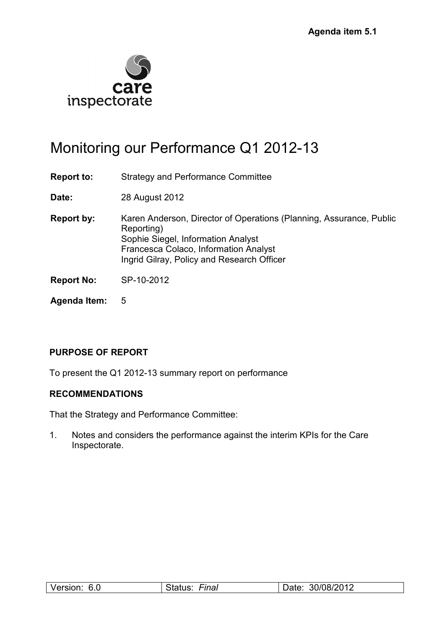

# Monitoring our Performance Q1 2012-13

**Report to:** Strategy and Performance Committee

**Date:** 28 August 2012

- **Report by:** Karen Anderson, Director of Operations (Planning, Assurance, Public Reporting) Sophie Siegel, Information Analyst Francesca Colaco, Information Analyst Ingrid Gilray, Policy and Research Officer
- **Report No:** SP-10-2012
- **Agenda Item:** 5

#### **PURPOSE OF REPORT**

To present the Q1 2012-13 summary report on performance

#### **RECOMMENDATIONS**

That the Strategy and Performance Committee:

1. Notes and considers the performance against the interim KPIs for the Care Inspectorate.

| ∩ G<br>I<br>'I SIC<br>v.v<br>. | -ınaı<br>.<br>$\sim$ | 30/08/2012<br>,aw |
|--------------------------------|----------------------|-------------------|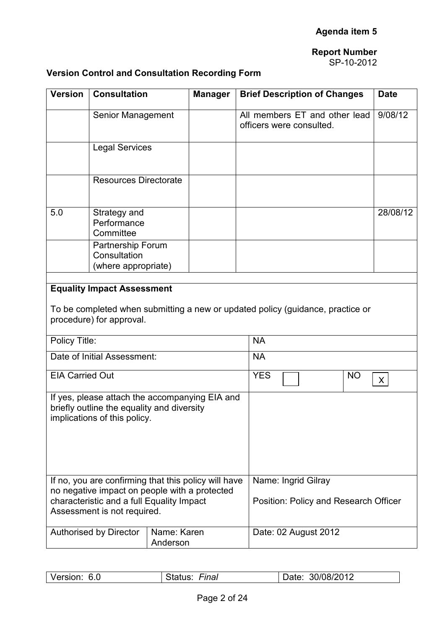SP-10-2012

### **Version Control and Consultation Recording Form**

| <b>Version</b>                                                                                                                                                                    | <b>Consultation</b>                                           |                         | <b>Manager</b>                        | <b>Brief Description of Changes</b>                                                         | <b>Date</b> |
|-----------------------------------------------------------------------------------------------------------------------------------------------------------------------------------|---------------------------------------------------------------|-------------------------|---------------------------------------|---------------------------------------------------------------------------------------------|-------------|
|                                                                                                                                                                                   | Senior Management                                             |                         |                                       | All members ET and other lead<br>officers were consulted.                                   | 9/08/12     |
|                                                                                                                                                                                   | <b>Legal Services</b>                                         |                         |                                       |                                                                                             |             |
|                                                                                                                                                                                   | <b>Resources Directorate</b>                                  |                         |                                       |                                                                                             |             |
| 5.0                                                                                                                                                                               | Strategy and<br>Performance<br>Committee                      |                         |                                       |                                                                                             | 28/08/12    |
|                                                                                                                                                                                   | Partnership Forum<br>Consultation<br>(where appropriate)      |                         |                                       |                                                                                             |             |
| Policy Title:                                                                                                                                                                     | <b>Equality Impact Assessment</b><br>procedure) for approval. |                         |                                       | To be completed when submitting a new or updated policy (guidance, practice or<br><b>NA</b> |             |
|                                                                                                                                                                                   | Date of Initial Assessment:                                   |                         |                                       | <b>NA</b>                                                                                   |             |
| <b>EIA Carried Out</b>                                                                                                                                                            |                                                               | <b>YES</b><br><b>NO</b> | X                                     |                                                                                             |             |
| If yes, please attach the accompanying EIA and<br>briefly outline the equality and diversity<br>implications of this policy.                                                      |                                                               |                         |                                       |                                                                                             |             |
| If no, you are confirming that this policy will have<br>no negative impact on people with a protected<br>characteristic and a full Equality Impact<br>Assessment is not required. |                                                               | Name: Ingrid Gilray     | Position: Policy and Research Officer |                                                                                             |             |
|                                                                                                                                                                                   | Authorised by Director                                        | Name: Karen<br>Anderson |                                       | Date: 02 August 2012                                                                        |             |

| Version:<br>30/08/2012<br>Status:<br>6.0<br>Date:<br>Final |
|------------------------------------------------------------|
|------------------------------------------------------------|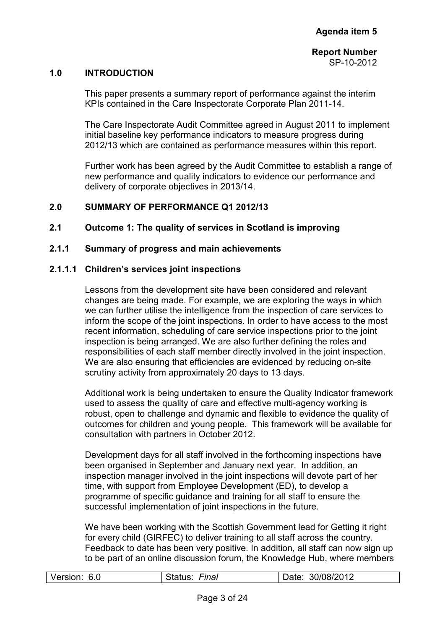#### **1.0 INTRODUCTION**

This paper presents a summary report of performance against the interim KPIs contained in the Care Inspectorate Corporate Plan 2011-14.

The Care Inspectorate Audit Committee agreed in August 2011 to implement initial baseline key performance indicators to measure progress during 2012/13 which are contained as performance measures within this report.

Further work has been agreed by the Audit Committee to establish a range of new performance and quality indicators to evidence our performance and delivery of corporate objectives in 2013/14.

#### **2.0 SUMMARY OF PERFORMANCE Q1 2012/13**

#### **2.1 Outcome 1: The quality of services in Scotland is improving**

#### **2.1.1 Summary of progress and main achievements**

#### **2.1.1.1 Children's services joint inspections**

Lessons from the development site have been considered and relevant changes are being made. For example, we are exploring the ways in which we can further utilise the intelligence from the inspection of care services to inform the scope of the joint inspections. In order to have access to the most recent information, scheduling of care service inspections prior to the joint inspection is being arranged. We are also further defining the roles and responsibilities of each staff member directly involved in the joint inspection. We are also ensuring that efficiencies are evidenced by reducing on-site scrutiny activity from approximately 20 days to 13 days.

Additional work is being undertaken to ensure the Quality Indicator framework used to assess the quality of care and effective multi-agency working is robust, open to challenge and dynamic and flexible to evidence the quality of outcomes for children and young people. This framework will be available for consultation with partners in October 2012.

Development days for all staff involved in the forthcoming inspections have been organised in September and January next year. In addition, an inspection manager involved in the joint inspections will devote part of her time, with support from Employee Development (ED), to develop a programme of specific guidance and training for all staff to ensure the successful implementation of joint inspections in the future.

We have been working with the Scottish Government lead for Getting it right for every child (GIRFEC) to deliver training to all staff across the country. Feedback to date has been very positive. In addition, all staff can now sign up to be part of an online discussion forum, the Knowledge Hub, where members

| 30/08/2012<br>Version:<br>6.0<br>Fınal<br>Date:<br>- status<br>______ |
|-----------------------------------------------------------------------|
|-----------------------------------------------------------------------|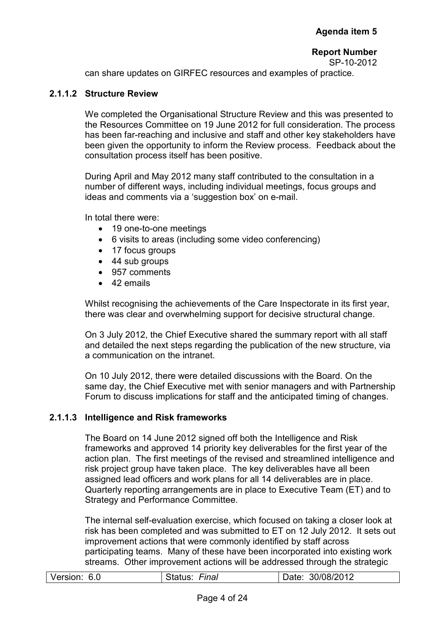SP-10-2012

can share updates on GIRFEC resources and examples of practice.

#### **2.1.1.2 Structure Review**

We completed the Organisational Structure Review and this was presented to the Resources Committee on 19 June 2012 for full consideration. The process has been far-reaching and inclusive and staff and other key stakeholders have been given the opportunity to inform the Review process. Feedback about the consultation process itself has been positive.

During April and May 2012 many staff contributed to the consultation in a number of different ways, including individual meetings, focus groups and ideas and comments via a 'suggestion box' on e-mail.

In total there were:

- 19 one-to-one meetings
- 6 visits to areas (including some video conferencing)
- 17 focus groups
- 44 sub groups
- 957 comments
- 42 emails

Whilst recognising the achievements of the Care Inspectorate in its first year, there was clear and overwhelming support for decisive structural change.

On 3 July 2012, the Chief Executive shared the summary report with all staff and detailed the next steps regarding the publication of the new structure, via a communication on the intranet.

On 10 July 2012, there were detailed discussions with the Board. On the same day, the Chief Executive met with senior managers and with Partnership Forum to discuss implications for staff and the anticipated timing of changes.

#### **2.1.1.3 Intelligence and Risk frameworks**

The Board on 14 June 2012 signed off both the Intelligence and Risk frameworks and approved 14 priority key deliverables for the first year of the action plan. The first meetings of the revised and streamlined intelligence and risk project group have taken place. The key deliverables have all been assigned lead officers and work plans for all 14 deliverables are in place. Quarterly reporting arrangements are in place to Executive Team (ET) and to Strategy and Performance Committee.

The internal self-evaluation exercise, which focused on taking a closer look at risk has been completed and was submitted to ET on 12 July 2012. It sets out improvement actions that were commonly identified by staff across participating teams. Many of these have been incorporated into existing work streams. Other improvement actions will be addressed through the strategic

| Version: 6.0 | Status:<br>Final | 30/08/2012<br>Date: |
|--------------|------------------|---------------------|
|              |                  |                     |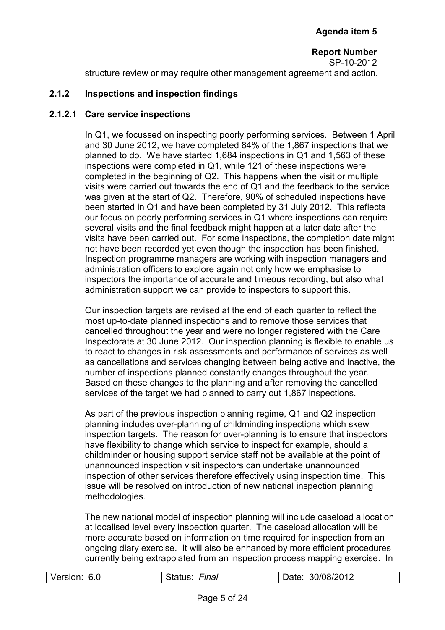**Report Number**  SP-10-2012 structure review or may require other management agreement and action.

#### **2.1.2 Inspections and inspection findings**

#### **2.1.2.1 Care service inspections**

In Q1, we focussed on inspecting poorly performing services. Between 1 April and 30 June 2012, we have completed 84% of the 1,867 inspections that we planned to do. We have started 1,684 inspections in Q1 and 1,563 of these inspections were completed in Q1, while 121 of these inspections were completed in the beginning of Q2. This happens when the visit or multiple visits were carried out towards the end of Q1 and the feedback to the service was given at the start of Q2. Therefore, 90% of scheduled inspections have been started in Q1 and have been completed by 31 July 2012. This reflects our focus on poorly performing services in Q1 where inspections can require several visits and the final feedback might happen at a later date after the visits have been carried out. For some inspections, the completion date might not have been recorded yet even though the inspection has been finished. Inspection programme managers are working with inspection managers and administration officers to explore again not only how we emphasise to inspectors the importance of accurate and timeous recording, but also what administration support we can provide to inspectors to support this.

Our inspection targets are revised at the end of each quarter to reflect the most up-to-date planned inspections and to remove those services that cancelled throughout the year and were no longer registered with the Care Inspectorate at 30 June 2012. Our inspection planning is flexible to enable us to react to changes in risk assessments and performance of services as well as cancellations and services changing between being active and inactive, the number of inspections planned constantly changes throughout the year. Based on these changes to the planning and after removing the cancelled services of the target we had planned to carry out 1,867 inspections.

As part of the previous inspection planning regime, Q1 and Q2 inspection planning includes over-planning of childminding inspections which skew inspection targets. The reason for over-planning is to ensure that inspectors have flexibility to change which service to inspect for example, should a childminder or housing support service staff not be available at the point of unannounced inspection visit inspectors can undertake unannounced inspection of other services therefore effectively using inspection time. This issue will be resolved on introduction of new national inspection planning methodologies.

The new national model of inspection planning will include caseload allocation at localised level every inspection quarter. The caseload allocation will be more accurate based on information on time required for inspection from an ongoing diary exercise. It will also be enhanced by more efficient procedures currently being extrapolated from an inspection process mapping exercise. In

| Version:<br>30/08/2012<br>6.0<br>∙ınal |
|----------------------------------------|
|----------------------------------------|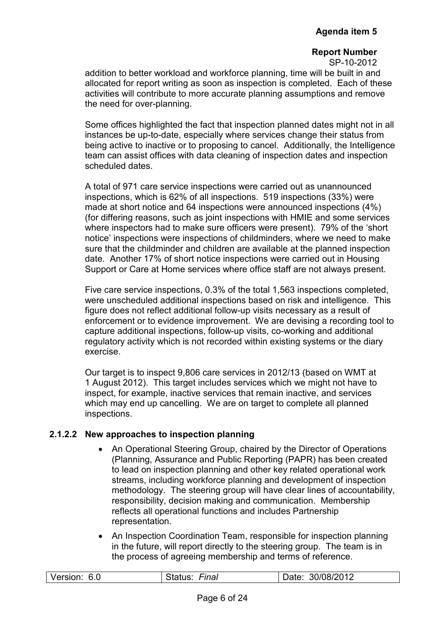SP-10-2012

addition to better workload and workforce planning, time will be built in and allocated for report writing as soon as inspection is completed. Each of these activities will contribute to more accurate planning assumptions and remove the need for over-planning.

Some offices highlighted the fact that inspection planned dates might not in all instances be up-to-date, especially where services change their status from being active to inactive or to proposing to cancel. Additionally, the Intelligence team can assist offices with data cleaning of inspection dates and inspection scheduled dates.

A total of 971 care service inspections were carried out as unannounced inspections, which is 62% of all inspections. 519 inspections (33%) were made at short notice and 64 inspections were announced inspections (4%) (for differing reasons, such as joint inspections with HMIE and some services where inspectors had to make sure officers were present). 79% of the 'short notice' inspections were inspections of childminders, where we need to make sure that the childminder and children are available at the planned inspection date. Another 17% of short notice inspections were carried out in Housing Support or Care at Home services where office staff are not always present.

Five care service inspections, 0.3% of the total 1,563 inspections completed, were unscheduled additional inspections based on risk and intelligence. This figure does not reflect additional follow-up visits necessary as a result of enforcement or to evidence improvement. We are devising a recording tool to capture additional inspections, follow-up visits, co-working and additional regulatory activity which is not recorded within existing systems or the diary exercise.

Our target is to inspect 9,806 care services in 2012/13 (based on WMT at 1 August 2012). This target includes services which we might not have to inspect, for example, inactive services that remain inactive, and services which may end up cancelling. We are on target to complete all planned inspections.

#### **2.1.2.2 New approaches to inspection planning**

- An Operational Steering Group, chaired by the Director of Operations (Planning, Assurance and Public Reporting (PAPR) has been created to lead on inspection planning and other key related operational work streams, including workforce planning and development of inspection methodology. The steering group will have clear lines of accountability, responsibility, decision making and communication. Membership reflects all operational functions and includes Partnership representation.
- An Inspection Coordination Team, responsible for inspection planning in the future, will report directly to the steering group. The team is in the process of agreeing membership and terms of reference.

| Version: 6.0 | Final | 30/08/2012<br>Date: |
|--------------|-------|---------------------|
|              |       |                     |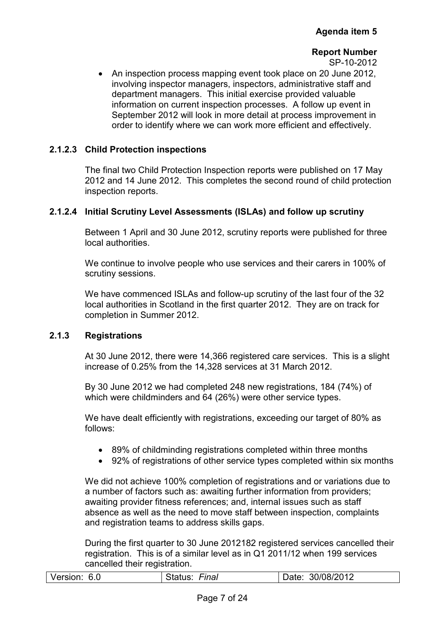SP-10-2012

• An inspection process mapping event took place on 20 June 2012, involving inspector managers, inspectors, administrative staff and department managers. This initial exercise provided valuable information on current inspection processes. A follow up event in September 2012 will look in more detail at process improvement in order to identify where we can work more efficient and effectively.

#### **2.1.2.3 Child Protection inspections**

The final two Child Protection Inspection reports were published on 17 May 2012 and 14 June 2012. This completes the second round of child protection inspection reports.

#### **2.1.2.4 Initial Scrutiny Level Assessments (ISLAs) and follow up scrutiny**

Between 1 April and 30 June 2012, scrutiny reports were published for three local authorities.

We continue to involve people who use services and their carers in 100% of scrutiny sessions.

We have commenced ISLAs and follow-up scrutiny of the last four of the 32 local authorities in Scotland in the first quarter 2012. They are on track for completion in Summer 2012.

#### **2.1.3 Registrations**

At 30 June 2012, there were 14,366 registered care services. This is a slight increase of 0.25% from the 14,328 services at 31 March 2012.

By 30 June 2012 we had completed 248 new registrations, 184 (74%) of which were childminders and 64 (26%) were other service types.

We have dealt efficiently with registrations, exceeding our target of 80% as follows:

- 89% of childminding registrations completed within three months
- 92% of registrations of other service types completed within six months

We did not achieve 100% completion of registrations and or variations due to a number of factors such as: awaiting further information from providers; awaiting provider fitness references; and, internal issues such as staff absence as well as the need to move staff between inspection, complaints and registration teams to address skills gaps.

During the first quarter to 30 June 2012182 registered services cancelled their registration. This is of a similar level as in Q1 2011/12 when 199 services cancelled their registration.

| Version: 6.0 | Final<br>Status: | Date: 30/08/2012 |
|--------------|------------------|------------------|
|              |                  |                  |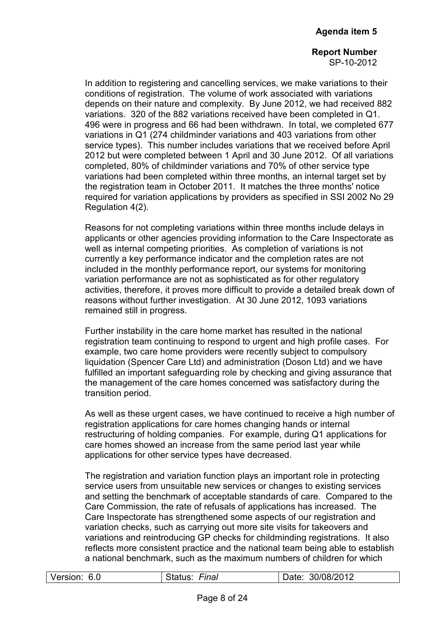SP-10-2012

In addition to registering and cancelling services, we make variations to their conditions of registration. The volume of work associated with variations depends on their nature and complexity. By June 2012, we had received 882 variations. 320 of the 882 variations received have been completed in Q1. 496 were in progress and 66 had been withdrawn. In total, we completed 677 variations in Q1 (274 childminder variations and 403 variations from other service types). This number includes variations that we received before April 2012 but were completed between 1 April and 30 June 2012. Of all variations completed, 80% of childminder variations and 70% of other service type variations had been completed within three months, an internal target set by the registration team in October 2011. It matches the three months' notice required for variation applications by providers as specified in SSI 2002 No 29 Regulation 4(2).

Reasons for not completing variations within three months include delays in applicants or other agencies providing information to the Care Inspectorate as well as internal competing priorities. As completion of variations is not currently a key performance indicator and the completion rates are not included in the monthly performance report, our systems for monitoring variation performance are not as sophisticated as for other regulatory activities, therefore, it proves more difficult to provide a detailed break down of reasons without further investigation. At 30 June 2012, 1093 variations remained still in progress.

Further instability in the care home market has resulted in the national registration team continuing to respond to urgent and high profile cases. For example, two care home providers were recently subject to compulsory liquidation (Spencer Care Ltd) and administration (Doson Ltd) and we have fulfilled an important safeguarding role by checking and giving assurance that the management of the care homes concerned was satisfactory during the transition period.

As well as these urgent cases, we have continued to receive a high number of registration applications for care homes changing hands or internal restructuring of holding companies. For example, during Q1 applications for care homes showed an increase from the same period last year while applications for other service types have decreased.

The registration and variation function plays an important role in protecting service users from unsuitable new services or changes to existing services and setting the benchmark of acceptable standards of care. Compared to the Care Commission, the rate of refusals of applications has increased. The Care Inspectorate has strengthened some aspects of our registration and variation checks, such as carrying out more site visits for takeovers and variations and reintroducing GP checks for childminding registrations. It also reflects more consistent practice and the national team being able to establish a national benchmark, such as the maximum numbers of children for which

| Version:<br>Final<br>30/08/2012<br>6.0<br>Jate:<br>status: |
|------------------------------------------------------------|
|------------------------------------------------------------|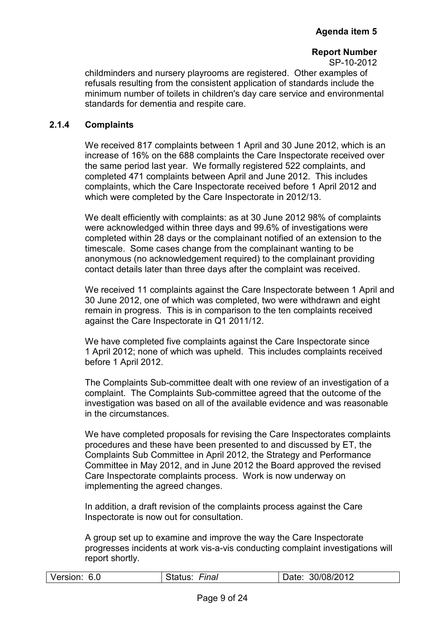SP-10-2012

childminders and nursery playrooms are registered. Other examples of refusals resulting from the consistent application of standards include the minimum number of toilets in children's day care service and environmental standards for dementia and respite care.

#### **2.1.4 Complaints**

We received 817 complaints between 1 April and 30 June 2012, which is an increase of 16% on the 688 complaints the Care Inspectorate received over the same period last year. We formally registered 522 complaints, and completed 471 complaints between April and June 2012. This includes complaints, which the Care Inspectorate received before 1 April 2012 and which were completed by the Care Inspectorate in 2012/13.

We dealt efficiently with complaints: as at 30 June 2012 98% of complaints were acknowledged within three days and 99.6% of investigations were completed within 28 days or the complainant notified of an extension to the timescale. Some cases change from the complainant wanting to be anonymous (no acknowledgement required) to the complainant providing contact details later than three days after the complaint was received.

We received 11 complaints against the Care Inspectorate between 1 April and 30 June 2012, one of which was completed, two were withdrawn and eight remain in progress. This is in comparison to the ten complaints received against the Care Inspectorate in Q1 2011/12.

We have completed five complaints against the Care Inspectorate since 1 April 2012; none of which was upheld. This includes complaints received before 1 April 2012.

The Complaints Sub-committee dealt with one review of an investigation of a complaint. The Complaints Sub-committee agreed that the outcome of the investigation was based on all of the available evidence and was reasonable in the circumstances.

We have completed proposals for revising the Care Inspectorates complaints procedures and these have been presented to and discussed by ET, the Complaints Sub Committee in April 2012, the Strategy and Performance Committee in May 2012, and in June 2012 the Board approved the revised Care Inspectorate complaints process. Work is now underway on implementing the agreed changes.

In addition, a draft revision of the complaints process against the Care Inspectorate is now out for consultation.

A group set up to examine and improve the way the Care Inspectorate progresses incidents at work vis-a-vis conducting complaint investigations will report shortly.

|  | Version:<br>6.0 | Final | 30/08/2012<br>Date: |
|--|-----------------|-------|---------------------|
|--|-----------------|-------|---------------------|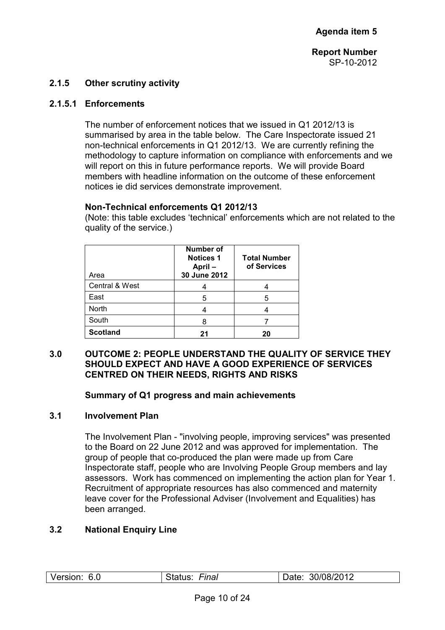#### **2.1.5 Other scrutiny activity**

#### **2.1.5.1 Enforcements**

The number of enforcement notices that we issued in Q1 2012/13 is summarised by area in the table below. The Care Inspectorate issued 21 non-technical enforcements in Q1 2012/13. We are currently refining the methodology to capture information on compliance with enforcements and we will report on this in future performance reports. We will provide Board members with headline information on the outcome of these enforcement notices ie did services demonstrate improvement.

#### **Non-Technical enforcements Q1 2012/13**

(Note: this table excludes 'technical' enforcements which are not related to the quality of the service.)

| Area            | <b>Number of</b><br><b>Notices 1</b><br>April-<br>30 June 2012 | <b>Total Number</b><br>of Services |
|-----------------|----------------------------------------------------------------|------------------------------------|
| Central & West  |                                                                |                                    |
| East            | 5                                                              | 5                                  |
| <b>North</b>    |                                                                |                                    |
| South           |                                                                |                                    |
| <b>Scotland</b> | 21                                                             | 20                                 |

#### **3.0 OUTCOME 2: PEOPLE UNDERSTAND THE QUALITY OF SERVICE THEY SHOULD EXPECT AND HAVE A GOOD EXPERIENCE OF SERVICES CENTRED ON THEIR NEEDS, RIGHTS AND RISKS**

#### **Summary of Q1 progress and main achievements**

#### **3.1 Involvement Plan**

The Involvement Plan - "involving people, improving services" was presented to the Board on 22 June 2012 and was approved for implementation. The group of people that co-produced the plan were made up from Care Inspectorate staff, people who are Involving People Group members and lay assessors. Work has commenced on implementing the action plan for Year 1. Recruitment of appropriate resources has also commenced and maternity leave cover for the Professional Adviser (Involvement and Equalities) has been arranged.

#### **3.2 National Enquiry Line**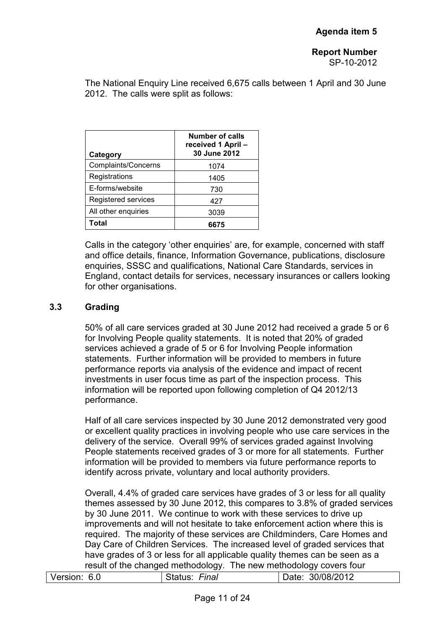SP-10-2012

The National Enquiry Line received 6,675 calls between 1 April and 30 June 2012. The calls were split as follows:

| Category                   | <b>Number of calls</b><br>received 1 April -<br>30 June 2012 |
|----------------------------|--------------------------------------------------------------|
| <b>Complaints/Concerns</b> | 1074                                                         |
| Registrations              | 1405                                                         |
| E-forms/website            | 730                                                          |
| Registered services        | 427                                                          |
| All other enquiries        | 3039                                                         |
| Total                      | 6675                                                         |

Calls in the category 'other enquiries' are, for example, concerned with staff and office details, finance, Information Governance, publications, disclosure enquiries, SSSC and qualifications, National Care Standards, services in England, contact details for services, necessary insurances or callers looking for other organisations.

#### **3.3 Grading**

50% of all care services graded at 30 June 2012 had received a grade 5 or 6 for Involving People quality statements. It is noted that 20% of graded services achieved a grade of 5 or 6 for Involving People information statements. Further information will be provided to members in future performance reports via analysis of the evidence and impact of recent investments in user focus time as part of the inspection process. This information will be reported upon following completion of Q4 2012/13 performance.

Half of all care services inspected by 30 June 2012 demonstrated very good or excellent quality practices in involving people who use care services in the delivery of the service. Overall 99% of services graded against Involving People statements received grades of 3 or more for all statements. Further information will be provided to members via future performance reports to identify across private, voluntary and local authority providers.

Overall, 4.4% of graded care services have grades of 3 or less for all quality themes assessed by 30 June 2012, this compares to 3.8% of graded services by 30 June 2011. We continue to work with these services to drive up improvements and will not hesitate to take enforcement action where this is required. The majority of these services are Childminders, Care Homes and Day Care of Children Services. The increased level of graded services that have grades of 3 or less for all applicable quality themes can be seen as a result of the changed methodology. The new methodology covers four

| Version: | Final   | 30/08/2012 |
|----------|---------|------------|
| 6.0      | Status: | Date:      |
|          |         |            |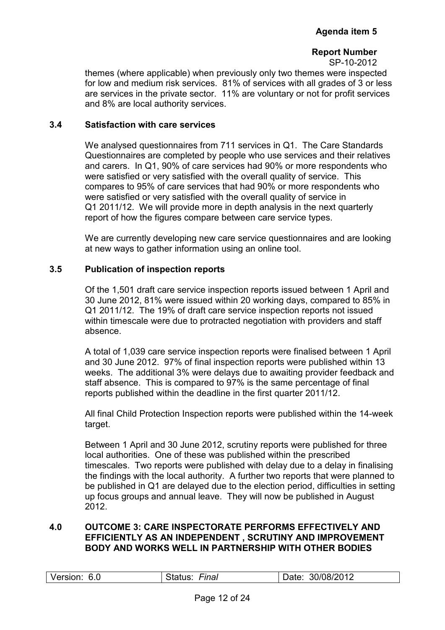themes (where applicable) when previously only two themes were inspected for low and medium risk services. 81% of services with all grades of 3 or less are services in the private sector. 11% are voluntary or not for profit services and 8% are local authority services.

#### **3.4 Satisfaction with care services**

We analysed questionnaires from 711 services in Q1. The Care Standards Questionnaires are completed by people who use services and their relatives and carers. In Q1, 90% of care services had 90% or more respondents who were satisfied or very satisfied with the overall quality of service. This compares to 95% of care services that had 90% or more respondents who were satisfied or very satisfied with the overall quality of service in Q1 2011/12. We will provide more in depth analysis in the next quarterly report of how the figures compare between care service types.

We are currently developing new care service questionnaires and are looking at new ways to gather information using an online tool.

#### **3.5 Publication of inspection reports**

Of the 1,501 draft care service inspection reports issued between 1 April and 30 June 2012, 81% were issued within 20 working days, compared to 85% in Q1 2011/12. The 19% of draft care service inspection reports not issued within timescale were due to protracted negotiation with providers and staff absence.

A total of 1,039 care service inspection reports were finalised between 1 April and 30 June 2012. 97% of final inspection reports were published within 13 weeks. The additional 3% were delays due to awaiting provider feedback and staff absence. This is compared to 97% is the same percentage of final reports published within the deadline in the first quarter 2011/12.

All final Child Protection Inspection reports were published within the 14-week target.

Between 1 April and 30 June 2012, scrutiny reports were published for three local authorities. One of these was published within the prescribed timescales. Two reports were published with delay due to a delay in finalising the findings with the local authority. A further two reports that were planned to be published in Q1 are delayed due to the election period, difficulties in setting up focus groups and annual leave. They will now be published in August 2012.

#### **4.0 OUTCOME 3: CARE INSPECTORATE PERFORMS EFFECTIVELY AND EFFICIENTLY AS AN INDEPENDENT , SCRUTINY AND IMPROVEMENT BODY AND WORKS WELL IN PARTNERSHIP WITH OTHER BODIES**

|  | Version:<br>-6.0 | Final<br>Status: | Date: 30/08/2012 |
|--|------------------|------------------|------------------|
|--|------------------|------------------|------------------|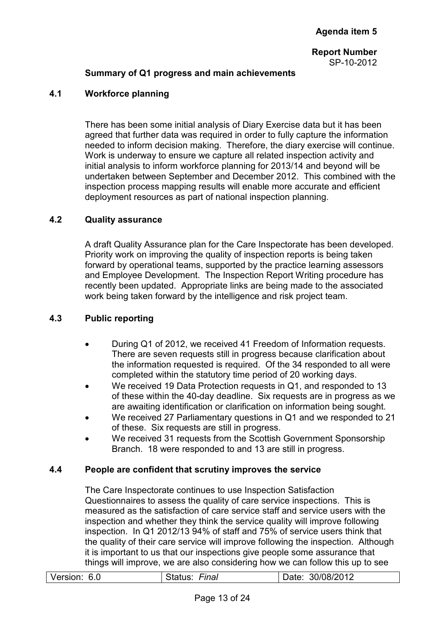#### **Summary of Q1 progress and main achievements**

#### **4.1 Workforce planning**

There has been some initial analysis of Diary Exercise data but it has been agreed that further data was required in order to fully capture the information needed to inform decision making. Therefore, the diary exercise will continue. Work is underway to ensure we capture all related inspection activity and initial analysis to inform workforce planning for 2013/14 and beyond will be undertaken between September and December 2012. This combined with the inspection process mapping results will enable more accurate and efficient deployment resources as part of national inspection planning.

#### **4.2 Quality assurance**

A draft Quality Assurance plan for the Care Inspectorate has been developed. Priority work on improving the quality of inspection reports is being taken forward by operational teams, supported by the practice learning assessors and Employee Development. The Inspection Report Writing procedure has recently been updated. Appropriate links are being made to the associated work being taken forward by the intelligence and risk project team.

#### **4.3 Public reporting**

- During Q1 of 2012, we received 41 Freedom of Information requests. There are seven requests still in progress because clarification about the information requested is required. Of the 34 responded to all were completed within the statutory time period of 20 working days.
- We received 19 Data Protection requests in Q1, and responded to 13 of these within the 40-day deadline. Six requests are in progress as we are awaiting identification or clarification on information being sought.
- We received 27 Parliamentary questions in Q1 and we responded to 21 of these. Six requests are still in progress.
- We received 31 requests from the Scottish Government Sponsorship Branch. 18 were responded to and 13 are still in progress.

#### **4.4 People are confident that scrutiny improves the service**

The Care Inspectorate continues to use Inspection Satisfaction Questionnaires to assess the quality of care service inspections. This is measured as the satisfaction of care service staff and service users with the inspection and whether they think the service quality will improve following inspection. In Q1 2012/13 94% of staff and 75% of service users think that the quality of their care service will improve following the inspection. Although it is important to us that our inspections give people some assurance that things will improve, we are also considering how we can follow this up to see

| Version: | Finai  | 30/08/2012 |
|----------|--------|------------|
| 6.0      | ગતાuડ. | Date:      |
|          |        |            |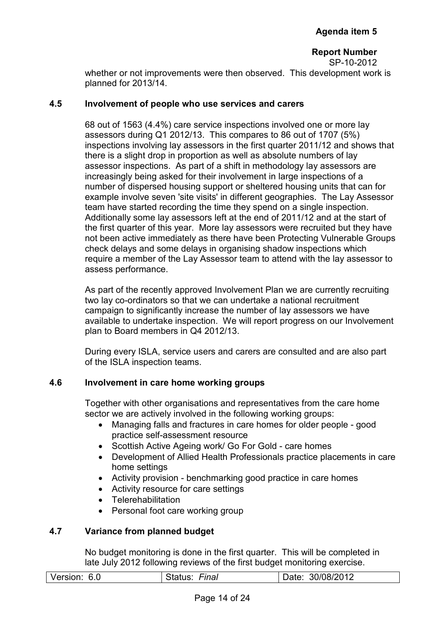whether or not improvements were then observed. This development work is planned for 2013/14.

#### **4.5 Involvement of people who use services and carers**

68 out of 1563 (4.4%) care service inspections involved one or more lay assessors during Q1 2012/13. This compares to 86 out of 1707 (5%) inspections involving lay assessors in the first quarter 2011/12 and shows that there is a slight drop in proportion as well as absolute numbers of lay assessor inspections. As part of a shift in methodology lay assessors are increasingly being asked for their involvement in large inspections of a number of dispersed housing support or sheltered housing units that can for example involve seven 'site visits' in different geographies. The Lay Assessor team have started recording the time they spend on a single inspection. Additionally some lay assessors left at the end of 2011/12 and at the start of the first quarter of this year. More lay assessors were recruited but they have not been active immediately as there have been Protecting Vulnerable Groups check delays and some delays in organising shadow inspections which require a member of the Lay Assessor team to attend with the lay assessor to assess performance.

As part of the recently approved Involvement Plan we are currently recruiting two lay co-ordinators so that we can undertake a national recruitment campaign to significantly increase the number of lay assessors we have available to undertake inspection. We will report progress on our Involvement plan to Board members in Q4 2012/13.

During every ISLA, service users and carers are consulted and are also part of the ISLA inspection teams.

#### **4.6 Involvement in care home working groups**

Together with other organisations and representatives from the care home sector we are actively involved in the following working groups:

- Managing falls and fractures in care homes for older people good practice self-assessment resource
- Scottish Active Ageing work/ Go For Gold care homes
- Development of Allied Health Professionals practice placements in care home settings
- Activity provision benchmarking good practice in care homes
- Activity resource for care settings
- Telerehabilitation
- Personal foot care working group

#### **4.7 Variance from planned budget**

No budget monitoring is done in the first quarter. This will be completed in late July 2012 following reviews of the first budget monitoring exercise.

| Version: 6.0 | Final<br>Status: | : 30/08/2012<br>Date: |
|--------------|------------------|-----------------------|
|              |                  |                       |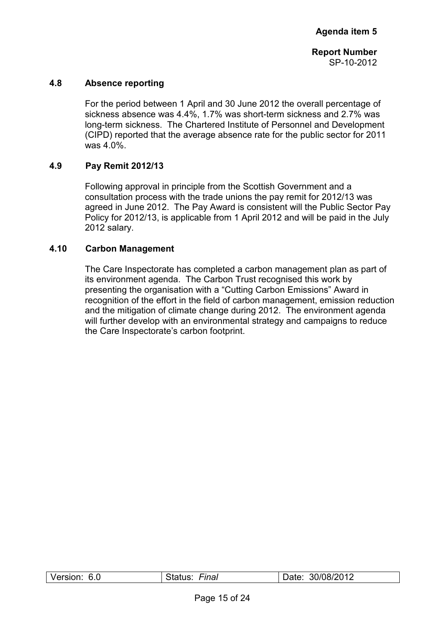#### **4.8 Absence reporting**

For the period between 1 April and 30 June 2012 the overall percentage of sickness absence was 4.4%, 1.7% was short-term sickness and 2.7% was long-term sickness. The Chartered Institute of Personnel and Development (CIPD) reported that the average absence rate for the public sector for 2011 was 4.0%.

#### **4.9 Pay Remit 2012/13**

Following approval in principle from the Scottish Government and a consultation process with the trade unions the pay remit for 2012/13 was agreed in June 2012. The Pay Award is consistent will the Public Sector Pay Policy for 2012/13, is applicable from 1 April 2012 and will be paid in the July 2012 salary.

#### **4.10 Carbon Management**

The Care Inspectorate has completed a carbon management plan as part of its environment agenda. The Carbon Trust recognised this work by presenting the organisation with a "Cutting Carbon Emissions" Award in recognition of the effort in the field of carbon management, emission reduction and the mitigation of climate change during 2012. The environment agenda will further develop with an environmental strategy and campaigns to reduce the Care Inspectorate's carbon footprint.

| Version: | Final     | 30/08/2012 |
|----------|-----------|------------|
| 6.0      | ′ atus: د | Date:      |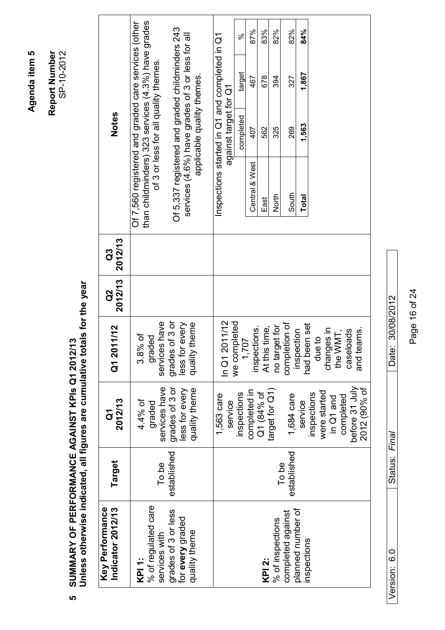Agenda item 5 **Agenda item 5** 

**Report Number**  Report Number<br>SP-10-2012

# SUMMARY OF PERFORMANCE AGAINST KPIs Q1 2012/13<br>Unless otherwise indicated, all figures are cumulative totals for the year **Unless otherwise indicated, all figures are cumulative totals for the year SUMMARY OF PERFORMANCE AGAINST KPIs Q1 2012/13**

| Key Performance<br>Indicator 2012/13                     | Target      | 2012/13<br>$\mathbf{\tilde{o}}$                   | Q1 2011/12                                           | 2012/13<br>2g | 2012/13<br>C3 |                | <b>Notes</b>                                                                                                                                      |     |
|----------------------------------------------------------|-------------|---------------------------------------------------|------------------------------------------------------|---------------|---------------|----------------|---------------------------------------------------------------------------------------------------------------------------------------------------|-----|
| % of regulated care<br>services with<br>KPI 1:           | To be       | services have<br>4.4% of<br>papen                 | services have<br>$3.8%$ of<br>graded                 |               |               |                | Of 7,560 registered and graded care services (other<br>than childminders) 323 services (4.3%) have grades<br>of 3 or less for all quality themes. |     |
| grades of 3 or less<br>for every graded<br>quality theme | established | grades of 3 or<br>less for every<br>quality theme | grades of 3 or<br>every<br>quality theme<br>less for |               |               |                | Of 5,337 registered and graded childminders 243<br>services (4.6%) have grades of 3 or less for all<br>applicable quality themes.                 |     |
|                                                          |             | 1,563 care<br>service                             | In Q1 2011/12                                        |               |               |                | nspections started in Q1 and completed in Q1<br>against target for Q1                                                                             |     |
|                                                          |             | inspections                                       | we completed<br>1,707                                |               |               |                | target<br>completed                                                                                                                               | ಸಿ  |
|                                                          |             | completed in                                      | inspections.                                         |               |               | Central & West | 467<br>407                                                                                                                                        | 87% |
| KPI 2:                                                   |             | Q1 (84% of                                        | At this time,                                        |               |               | East           | 678<br>562                                                                                                                                        | 83% |
| % of inspections                                         | To be       | target for Q1)                                    | no target for                                        |               |               | North          | 394<br>325                                                                                                                                        | 82% |
| completed against                                        | established | 1,684 care                                        | completion of                                        |               |               | South          | 327<br>269                                                                                                                                        | 82% |
| planned number of<br>inspections                         |             | service                                           | had been set<br>inspection                           |               |               | Total          | 1,867<br>1,563                                                                                                                                    | 84% |
|                                                          |             | were started<br>inspections                       | $\Omega$<br>due t                                    |               |               |                |                                                                                                                                                   |     |
|                                                          |             | in Q1 and                                         | changes in<br>the WMT,                               |               |               |                |                                                                                                                                                   |     |
|                                                          |             | completed                                         | caseloads                                            |               |               |                |                                                                                                                                                   |     |
|                                                          |             | before 31 July<br>2012 (90% of                    | and teams.                                           |               |               |                |                                                                                                                                                   |     |

Page 16 of 24 Page 16 of 24

Version: 6.0 Status: *Final* Date: 30/08/2012

Status: Final

Version: 6.0

Date: 30/08/2012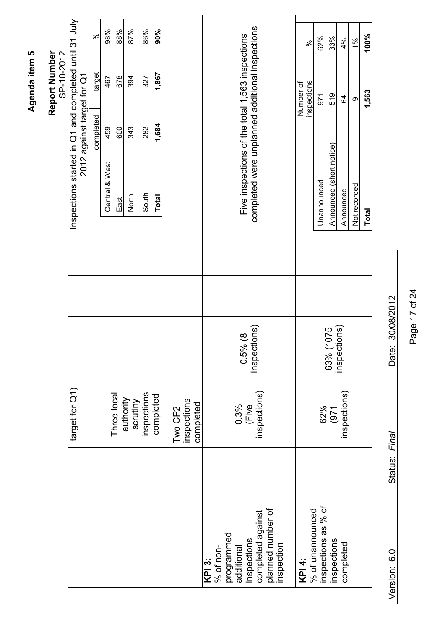|                             |                                                       | ಸಿ        | 98%            | 88%         | 87%                   | 86%         | 90%          |         |                          |        |           |            |                                                 |                                                 |                                        |            |           | ಸ                | 62%                 | 33%                       | 4%           | 1%           | 100%         |
|-----------------------------|-------------------------------------------------------|-----------|----------------|-------------|-----------------------|-------------|--------------|---------|--------------------------|--------|-----------|------------|-------------------------------------------------|-------------------------------------------------|----------------------------------------|------------|-----------|------------------|---------------------|---------------------------|--------------|--------------|--------------|
| SP-10-2012<br>Report Number | 2012 against target for Q1                            | target    | 467            | 678         | 394                   | 327         | 1,867        |         |                          |        |           |            |                                                 |                                                 |                                        |            | Number of | inspections      | 571                 | 519                       | S,           | $\infty$     | 1,563        |
|                             |                                                       | completed | 459            | 600         | 343                   | 282         | 1,684        |         |                          |        |           |            |                                                 |                                                 |                                        |            |           |                  |                     |                           |              |              |              |
|                             | Inspections started in Q1 and completed until 31 July |           | Central & West | East        | North                 | South       | <b>Total</b> |         |                          |        |           |            | Five inspections of the total 1,563 inspections | completed were unplanned additional inspections |                                        |            |           |                  | Unannounced         | Announced (short notice)  | Announced    | Not recorded | <b>Total</b> |
|                             |                                                       |           |                |             |                       |             |              |         |                          |        |           |            |                                                 |                                                 |                                        |            |           |                  |                     |                           |              |              |              |
|                             |                                                       |           |                |             |                       |             |              |         |                          |        |           |            |                                                 |                                                 |                                        |            |           |                  |                     |                           |              |              |              |
|                             |                                                       |           |                |             |                       |             |              |         |                          |        |           |            |                                                 | $0.5\%$ (8<br>inspections)                      |                                        |            |           |                  |                     | 63% (1075<br>inspections) |              |              |              |
|                             | target for Q1)                                        |           |                | Three local | authority<br>scrutiny | inspections | completed    | Two CP2 | inspections<br>completed |        |           |            | 0.3%<br>(Five                                   |                                                 | inspections)                           |            |           |                  | 62%                 | (971)                     | inspections) |              |              |
|                             |                                                       |           |                |             |                       |             |              |         |                          |        |           |            |                                                 |                                                 |                                        |            |           |                  |                     |                           |              |              |              |
|                             |                                                       |           |                |             |                       |             |              |         |                          | KPI 3: | % of non- | programmed | additional                                      | inspections                                     | completed against<br>planned number of | inspection | KPI4:     | % of unannounced | inspections as % of | inspections               | completed    |              |              |

Page 17 of 24 Page 17 of 24

Date: 30/08/2012

Version: 6.0 Status: *Final* Date: 30/08/2012

Status: Final

Version: 6.0

# Agenda item 5 **Agenda item 5**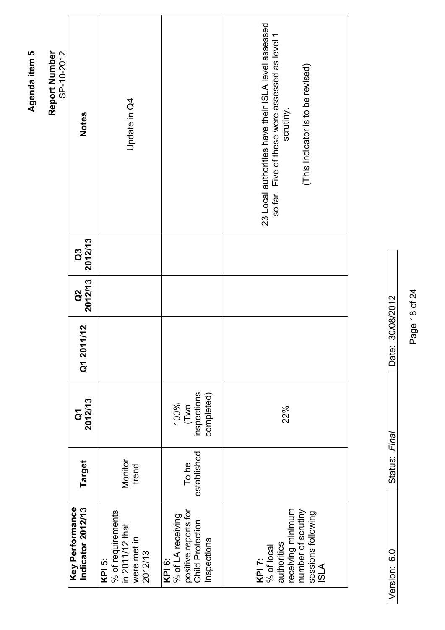| SP-10-2012<br>Report Number | <b>Notes</b>                         | Update in Q4                                                             |                                                                                               | 23 Local authorities have their ISLA level assessed<br>so far. Five of these were assessed as level 1<br>(This indicator is to be revised)<br>scrutiny. |
|-----------------------------|--------------------------------------|--------------------------------------------------------------------------|-----------------------------------------------------------------------------------------------|---------------------------------------------------------------------------------------------------------------------------------------------------------|
|                             | 2012/13<br>G <sub>3</sub>            |                                                                          |                                                                                               |                                                                                                                                                         |
|                             | 2012/13<br><b>SO</b>                 |                                                                          |                                                                                               |                                                                                                                                                         |
|                             | 11/12<br>Q1 20                       |                                                                          |                                                                                               |                                                                                                                                                         |
|                             | 2012/13<br>$\mathbf{\tilde{o}}$      |                                                                          | inspections<br>completed)<br>100%<br>(Two                                                     | 22%                                                                                                                                                     |
|                             | Target                               | Monitor<br>trend                                                         | established<br>To be                                                                          |                                                                                                                                                         |
|                             | Key Performance<br>Indicator 2012/13 | % of requirements<br>in 2011/12 that<br>were met in<br>2012/13<br>KPI 5: | positive reports for<br>% of LA receiving<br><b>Child Protection</b><br>Inspections<br>KPI 6: | receiving minimum<br>number of scrutiny<br>sessions following<br>authorities<br>KPI 7:<br>% of local<br>ISLA                                            |

Date: 30/08/2012 Version: 6.0 Status: *Final* Date: 30/08/2012 Status: Final Version: 6.0

Page 18 of 24 Page 18 of 24

Agenda item 5 **Agenda item 5**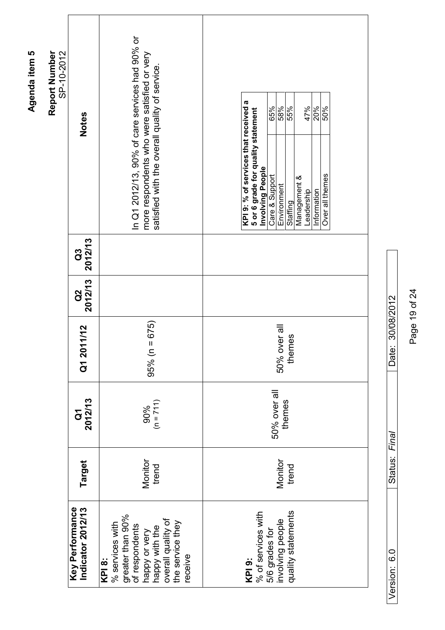| SP-10-2012<br>Report Number | <b>Notes</b>                         | In Q1 2012/13, 90% of care services had 90% or<br>more respondents who were satisfied or very<br>satisfied with the overall quality of service          | KPI 9: % of services that received a<br>65%<br>55%<br>47%<br>50%<br>20%<br>58%<br>5 or 6 grade for quality statement<br>Involving People<br>Over all themes<br>Care & Support<br>Management &<br>Environment<br>Leadership<br>Information<br>Staffing |
|-----------------------------|--------------------------------------|---------------------------------------------------------------------------------------------------------------------------------------------------------|-------------------------------------------------------------------------------------------------------------------------------------------------------------------------------------------------------------------------------------------------------|
|                             | 2012/13<br>C3                        |                                                                                                                                                         |                                                                                                                                                                                                                                                       |
|                             | 2012/13<br>2g                        |                                                                                                                                                         |                                                                                                                                                                                                                                                       |
|                             | Q1 2011/12                           | $= 675$<br>95% (n                                                                                                                                       | 50% over all<br>themes                                                                                                                                                                                                                                |
|                             | 2012/13<br>$\overline{c}$            | $(n = 711)$<br>90%                                                                                                                                      | 50% over all<br>themes                                                                                                                                                                                                                                |
|                             | Target                               | Monitor<br>trend                                                                                                                                        | Monitor<br>trend                                                                                                                                                                                                                                      |
|                             | Key Performance<br>Indicator 2012/13 | greater than 90%<br>overall quality of<br>the service they<br>% services with<br>of respondents<br>happy with the<br>happy or very<br>receive<br>KPI 8: | quality statements<br>% of services with<br>involving people<br>5/6 grades for<br>KPI <sub>9:</sub>                                                                                                                                                   |

Page 19 of 24 Page 19 of 24

Version: 6.0 Status: *Final* Date: 30/08/2012

Status: Final

Version: 6.0

Date: 30/08/2012

Agenda item 5 **Agenda item 5**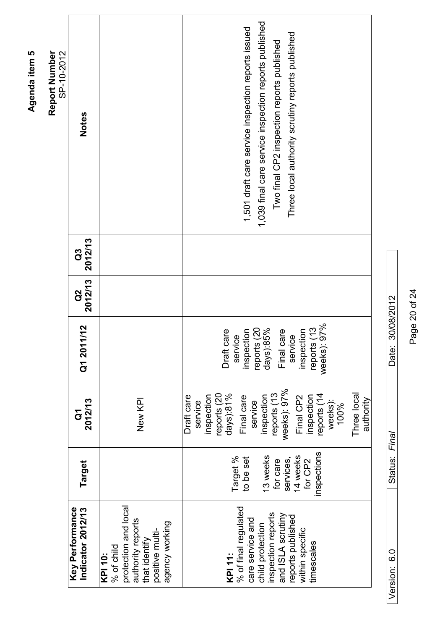| SP-10-2012<br>Report Number | <b>Notes</b>                         |                                                                                                                                 | 1,039 final care service inspection reports published<br>1,501 draft care service inspection reports issued<br>Three local authority scrutiny reports published<br>Two final CP2 inspection reports published                   |
|-----------------------------|--------------------------------------|---------------------------------------------------------------------------------------------------------------------------------|---------------------------------------------------------------------------------------------------------------------------------------------------------------------------------------------------------------------------------|
|                             | 2012/13<br>G3                        |                                                                                                                                 |                                                                                                                                                                                                                                 |
|                             | 2012/13<br><b>a</b>                  |                                                                                                                                 |                                                                                                                                                                                                                                 |
|                             | Q1 2011/12                           |                                                                                                                                 | reports (13<br>weeks): 97%<br>reports (20<br>days): 85%<br>Final care<br>inspection<br>inspection<br>Draft care<br>service<br>service<br>report                                                                                 |
|                             | 2012/13<br>မြ                        | New KPI                                                                                                                         | weeks): 97%<br>reports (13<br>$days)$ :81%<br>reports (14<br>reports (20<br>Three local<br>Final care<br>Draft care<br>inspection<br>nspection<br>Final CP2<br>inspection<br>authority<br>weeks):<br>service<br>service<br>100% |
|                             | Target                               |                                                                                                                                 | nspections<br>13 weeks<br>services,<br>14 weeks<br>Target %<br>to be set<br>for care<br>for CP2                                                                                                                                 |
|                             | Key Performance<br>Indicator 2012/13 | protection and local<br>authority reports<br>agency working<br>positive multi-<br>that identify<br>% of child<br><b>KPI 10:</b> | % of final regulated<br>inspection reports<br>and ISLA scrutiny<br>reports published<br>care service and<br>child protection<br>within specific<br>timescales<br><b>KPI 11:</b>                                                 |

Page 20 of 24 Page 20 of 24

Version: 6.0 Status: *Final* Date: 30/08/2012

Status: Final

Version: 6.0

Date: 30/08/2012

Agenda item 5 **Agenda item 5**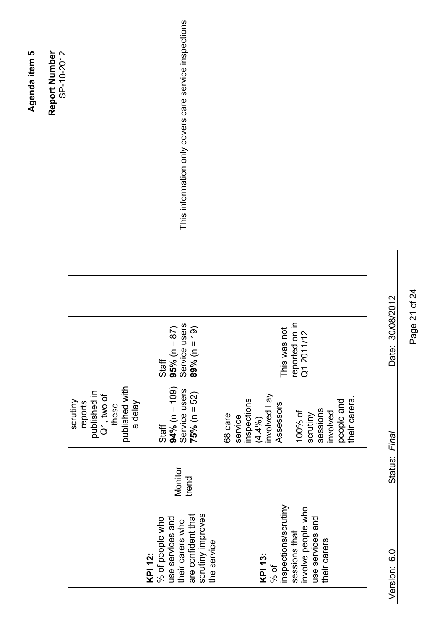| Report Number<br>SP-10-2012 |                                                                                         | This information only covers care service inspections                                                                                    |                                                                                                                                                           |
|-----------------------------|-----------------------------------------------------------------------------------------|------------------------------------------------------------------------------------------------------------------------------------------|-----------------------------------------------------------------------------------------------------------------------------------------------------------|
|                             |                                                                                         |                                                                                                                                          |                                                                                                                                                           |
|                             |                                                                                         |                                                                                                                                          |                                                                                                                                                           |
|                             |                                                                                         | 95% (n = 87)<br>Service users<br>89% (n = 19)<br>Staff                                                                                   | This was not<br>reported on in<br>Q1 2011/12                                                                                                              |
|                             | published with<br>published in<br>Q1, two of<br>these<br>scrutiny<br>a delay<br>reports | $94\%$ (n = 109)<br>Service users<br>$75% (n = 52)$<br>Staff                                                                             | $(4.4\%)$<br>involved Lay<br>their carers.<br>inspections<br>people and<br>Assessors<br>sessions<br>100% of<br>involved<br>scrutiny<br>68 care<br>service |
|                             |                                                                                         | Monitor<br>trend                                                                                                                         |                                                                                                                                                           |
|                             |                                                                                         | scrutiny improves<br>their carers who<br>are confident that<br>use services and<br>% of people who<br>the service<br>$\overline{KP}$ 12: | inspections/scrutiny<br>involve people who<br>use services and<br>sessions that<br>their carers<br>KPI 13:<br>% of                                        |

Page 21 of 24 Page 21 of 24

Version: 6.0 Status: *Final* Date: 30/08/2012

Status: Final

Version: 6.0

Date: 30/08/2012

# Agenda item 5 **Agenda item 5**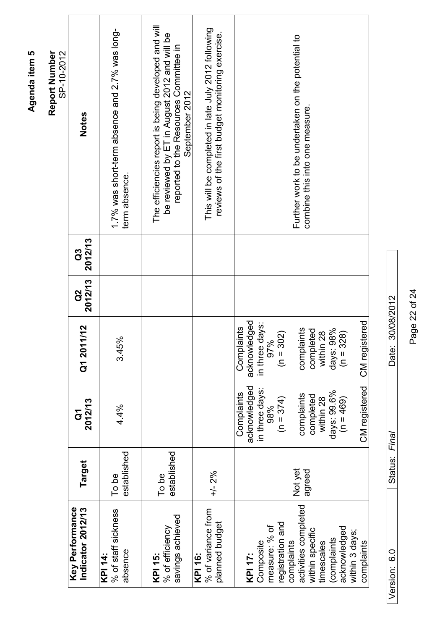|                                                                                                                                                                                                         |                      |                                                                                                                                                          |                                                                                                                                                                                  |                     |               | SP-10-2012                                                                                                                                                      |
|---------------------------------------------------------------------------------------------------------------------------------------------------------------------------------------------------------|----------------------|----------------------------------------------------------------------------------------------------------------------------------------------------------|----------------------------------------------------------------------------------------------------------------------------------------------------------------------------------|---------------------|---------------|-----------------------------------------------------------------------------------------------------------------------------------------------------------------|
| Key Performance<br>Indicator 2012/13                                                                                                                                                                    | Target               | 2012/13<br>$\mathbf{\bar{o}}$                                                                                                                            | 1/12<br>Q1 201                                                                                                                                                                   | 2012/13<br><b>a</b> | 2012/13<br>C3 | <b>Notes</b>                                                                                                                                                    |
| % of staff sickness<br>absence<br><b>KPI 14:</b>                                                                                                                                                        | established<br>To be | 4.4%                                                                                                                                                     | 3.45%                                                                                                                                                                            |                     |               | 1.7% was short-term absence and 2.7% was long-<br>term absence.                                                                                                 |
| savings achieved<br>% of efficiency<br><b>KPI 15:</b>                                                                                                                                                   | established<br>To be |                                                                                                                                                          |                                                                                                                                                                                  |                     |               | The efficiencies report is being developed and will<br>be reviewed by ET in August 2012 and will be<br>reported to the Resources Committee in<br>September 2012 |
| % of variance from<br>planned budget<br>KPI 16:                                                                                                                                                         | $+/- 2%$             |                                                                                                                                                          |                                                                                                                                                                                  |                     |               | This will be completed in late July 2012 following<br>reviews of the first budget monitoring exercise.                                                          |
| activities completed<br>registration and<br>measure: % of<br>acknowledged<br>within specific<br>within 3 days;<br>(complaints)<br>Composite<br>complaints<br>timescales<br>complaints<br><b>KPI 17:</b> | Not yet<br>agreed    | CM registered<br>acknowledged<br>in three days<br>days: 99.6%<br>Complaints<br>complaints<br>completed<br>$(n = 374)$<br>within 28<br>$(n = 469)$<br>98% | acknowledged<br>CM registered<br>days:<br>Complaints<br>complaints<br>98%<br>completed<br>128<br>$(n = 302)$<br>328)<br>97%<br>in three<br>within<br>$(n = 3)$<br>days: <b>s</b> |                     |               | Further work to be undertaken on the potential to<br>combine this into one measure.                                                                             |

Page 22 of 24 Page 22 of 24

Version: 6.0 Status: *Final* Date: 30/08/2012

Status: Final

Version: 6.0

Date: 30/08/2012

# Agenda item 5 **Agenda item 5**

**Report Number**  Report Number<br>SP-10-2012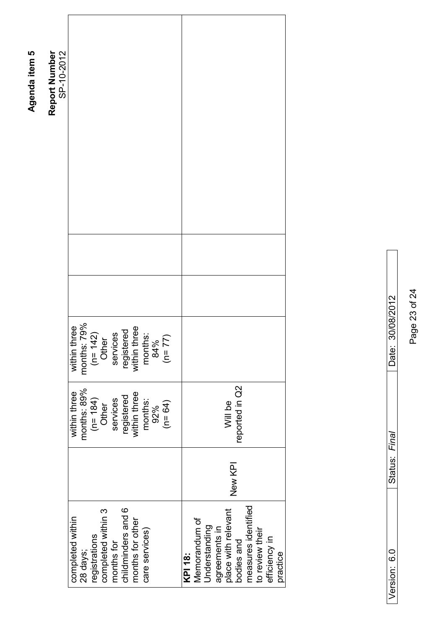|                                                                                                                                                                                          |                             |                                                                                                       | Report Number<br>SP-10-2012 |
|------------------------------------------------------------------------------------------------------------------------------------------------------------------------------------------|-----------------------------|-------------------------------------------------------------------------------------------------------|-----------------------------|
| completed within<br>28 days;                                                                                                                                                             | months: 89%<br>within three | .79%<br>three<br>months:<br>within 1                                                                  |                             |
| registrations                                                                                                                                                                            |                             |                                                                                                       |                             |
| completed within 3                                                                                                                                                                       | $(n=184)$<br>Other          | ( $n = 142$ )<br>Other<br>services<br>services<br>registered<br>within three<br>months:<br>84%<br>84% |                             |
| months for                                                                                                                                                                               | services                    |                                                                                                       |                             |
| childminders and 6                                                                                                                                                                       | registered                  |                                                                                                       |                             |
| months for other                                                                                                                                                                         | within three                |                                                                                                       |                             |
| care services)                                                                                                                                                                           | months:                     |                                                                                                       |                             |
|                                                                                                                                                                                          | 92%                         |                                                                                                       |                             |
|                                                                                                                                                                                          | $(n = 64)$                  |                                                                                                       |                             |
|                                                                                                                                                                                          |                             |                                                                                                       |                             |
| New KPI<br>measures identified<br>place with relevant<br>Memorandum of<br>Understanding<br>agreements in<br>to review their<br>efficiency in<br>bodies and<br>practice<br><b>KPI 18:</b> | reported in Q2<br>Will be   |                                                                                                       |                             |

|  | י היי ד<br>j | くっくくくく<br>ĺ |
|--|--------------|-------------|
|  |              |             |

Page 23 of 24 Page 23 of 24

Agenda item 5 **Agenda item 5**